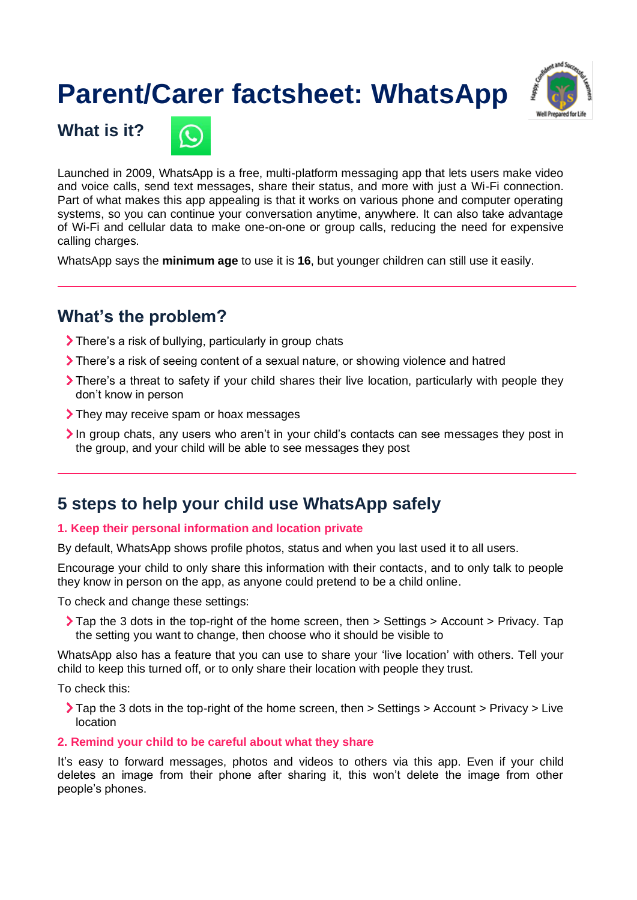# **Parent/Carer factsheet: WhatsApp**



**What is it?**



Launched in 2009, WhatsApp is a free, multi-platform messaging app that lets users make video and voice calls, send text messages, share their status, and more with just a Wi-Fi connection. Part of what makes this app appealing is that it works on various phone and computer operating systems, so you can continue your conversation anytime, anywhere. It can also take advantage of Wi-Fi and cellular data to make one-on-one or group calls, reducing the need for expensive calling charges.

WhatsApp says the **minimum age** to use it is **16**, but younger children can still use it easily.

## **What's the problem?**

- There's a risk of bullying, particularly in group chats
- There's a risk of seeing content of a sexual nature, or showing violence and hatred
- There's a threat to safety if your child shares their live location, particularly with people they don't know in person
- They may receive spam or hoax messages
- In group chats, any users who aren't in your child's contacts can see messages they post in the group, and your child will be able to see messages they post

## **5 steps to help your child use WhatsApp safely**

#### **1. Keep their personal information and location private**

By default, WhatsApp shows profile photos, status and when you last used it to all users.

Encourage your child to only share this information with their contacts, and to only talk to people they know in person on the app, as anyone could pretend to be a child online.

To check and change these settings:

Tap the 3 dots in the top-right of the home screen, then > Settings > Account > Privacy. Tap the setting you want to change, then choose who it should be visible to

WhatsApp also has a feature that you can use to share your 'live location' with others. Tell your child to keep this turned off, or to only share their location with people they trust.

To check this:

Tap the 3 dots in the top-right of the home screen, then > Settings > Account > Privacy > Live location

#### **2. Remind your child to be careful about what they share**

It's easy to forward messages, photos and videos to others via this app. Even if your child deletes an image from their phone after sharing it, this won't delete the image from other people's phones.